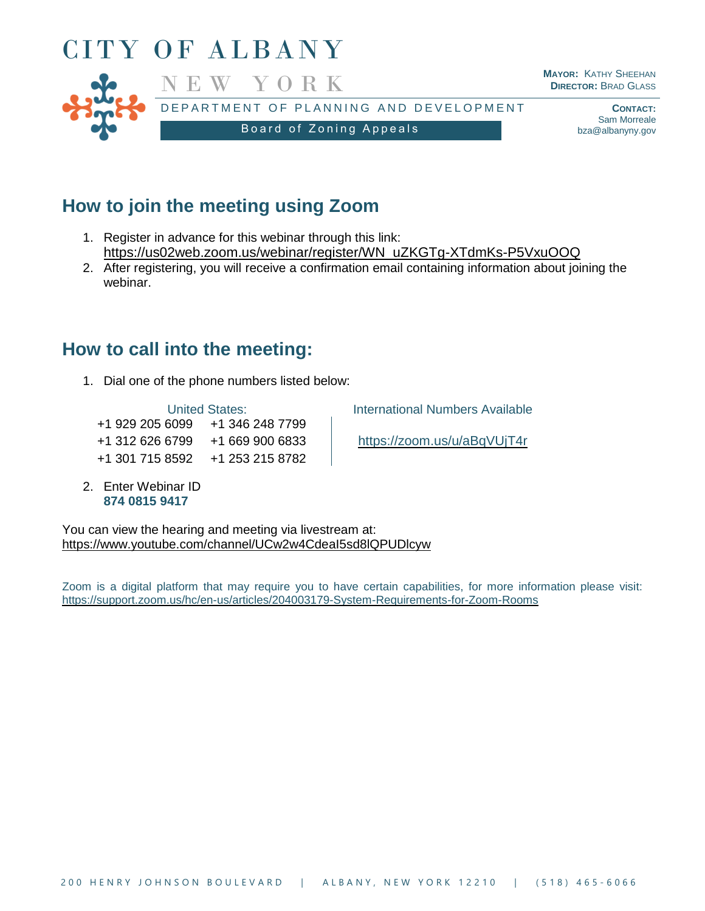

# **How to join the meeting using Zoom**

- 1. Register in advance for this webinar through this link: [https://us02web.zoom.us/webinar/register/WN\\_uZKGTg-XTdmKs-P5VxuOOQ](https://us02web.zoom.us/webinar/register/WN_uZKGTg-XTdmKs-P5VxuOOQ)
- 2. After registering, you will receive a confirmation email containing information about joining the webinar.

## **How to call into the meeting:**

1. Dial one of the phone numbers listed below:

+1 929 205 6099 +1 346 248 7799 +1 312 626 6799 +1 669 900 6833 <https://zoom.us/u/aBqVUjT4r> +1 301 715 8592 +1 253 215 8782

2. Enter Webinar ID **874 0815 9417**

United States: **International Numbers Available** 

You can view the hearing and meeting via livestream at: <https://www.youtube.com/channel/UCw2w4CdeaI5sd8lQPUDlcyw>

Zoom is a digital platform that may require you to have certain capabilities, for more information please visit: <https://support.zoom.us/hc/en-us/articles/204003179-System-Requirements-for-Zoom-Rooms>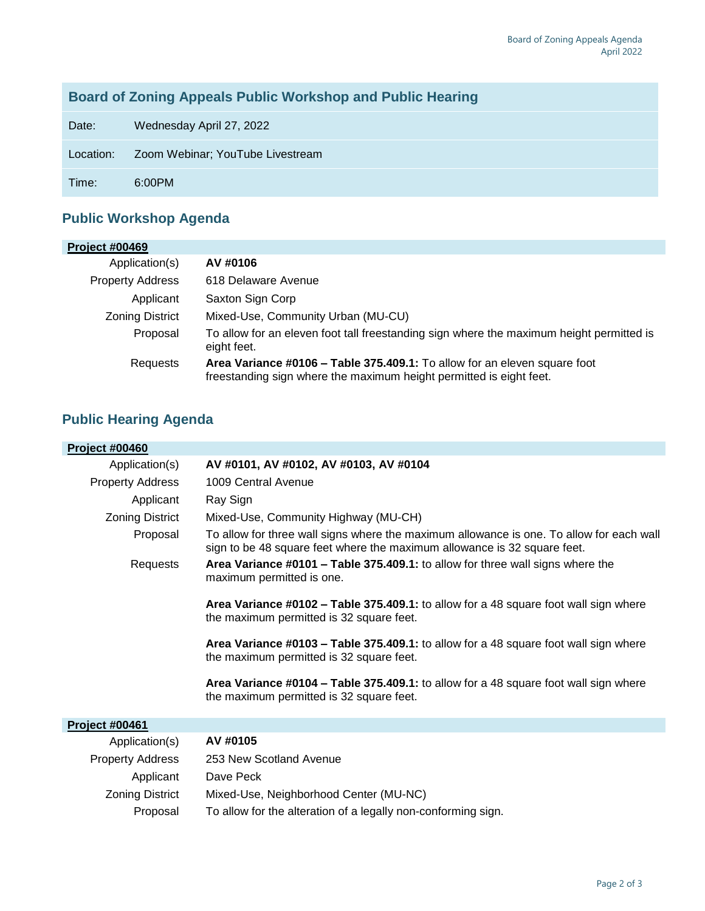### **Board of Zoning Appeals Public Workshop and Public Hearing**

Date: Wednesday April 27, 2022

Location: Zoom Webinar; YouTube Livestream

Time: 6:00PM

#### **Public Workshop Agenda**

| <b>Project #00469</b>   |                                                                                                                                                  |
|-------------------------|--------------------------------------------------------------------------------------------------------------------------------------------------|
| Application(s)          | AV #0106                                                                                                                                         |
| <b>Property Address</b> | 618 Delaware Avenue                                                                                                                              |
| Applicant               | Saxton Sign Corp                                                                                                                                 |
| <b>Zoning District</b>  | Mixed-Use, Community Urban (MU-CU)                                                                                                               |
| Proposal                | To allow for an eleven foot tall freestanding sign where the maximum height permitted is<br>eight feet.                                          |
| Requests                | Area Variance #0106 - Table 375.409.1: To allow for an eleven square foot<br>freestanding sign where the maximum height permitted is eight feet. |

### **Public Hearing Agenda**

| <b>Project #00460</b>   |                                                                                                                                                                      |
|-------------------------|----------------------------------------------------------------------------------------------------------------------------------------------------------------------|
| Application(s)          | AV #0101, AV #0102, AV #0103, AV #0104                                                                                                                               |
| <b>Property Address</b> | 1009 Central Avenue                                                                                                                                                  |
| Applicant               | Ray Sign                                                                                                                                                             |
| <b>Zoning District</b>  | Mixed-Use, Community Highway (MU-CH)                                                                                                                                 |
| Proposal                | To allow for three wall signs where the maximum allowance is one. To allow for each wall<br>sign to be 48 square feet where the maximum allowance is 32 square feet. |
| Requests                | Area Variance #0101 - Table 375.409.1: to allow for three wall signs where the<br>maximum permitted is one.                                                          |
|                         | Area Variance #0102 – Table 375.409.1: to allow for a 48 square foot wall sign where<br>the maximum permitted is 32 square feet.                                     |
|                         | Area Variance #0103 - Table 375.409.1: to allow for a 48 square foot wall sign where<br>the maximum permitted is 32 square feet.                                     |
|                         | Area Variance #0104 – Table 375.409.1: to allow for a 48 square foot wall sign where<br>the maximum permitted is 32 square feet.                                     |
| <b>Project #00461</b>   |                                                                                                                                                                      |
| Application(s)          | AV #0105                                                                                                                                                             |
| <b>Property Address</b> | 253 New Scotland Avenue                                                                                                                                              |
| Applicant               | Dave Peck                                                                                                                                                            |

Zoning District Mixed-Use, Neighborhood Center (MU-NC)

Proposal To allow for the alteration of a legally non-conforming sign.